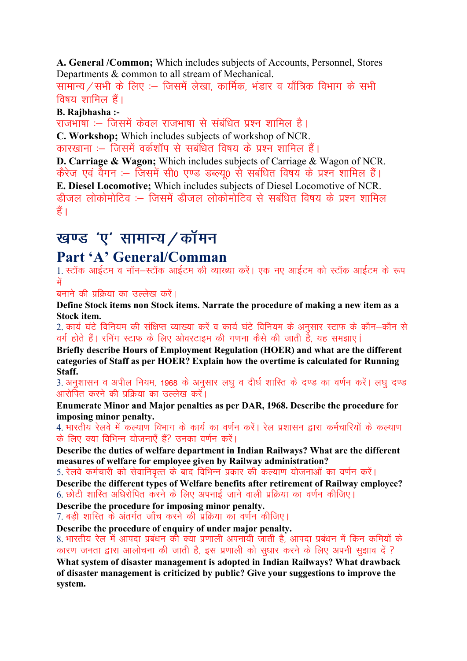A. General /Common; Which includes subjects of Accounts, Personnel, Stores Departments & common to all stream of Mechanical.

सामान्य / सभी के लिए :- जिसमें लेखा, कार्मिक, भंडार व याँत्रिक विभाग के सभी  $\frac{1}{\sqrt{2}}$ विषय शामिल हैं।

B. Rajbhasha :-

राजभाषा :-- जिसमें केवल राजभाषा से संबंधित प्रश्न शामिल है। C. Workshop; Which includes subjects of workshop of NCR.

कारखाना :– जिसमें वर्कशॉप से सबंधित विषय के प्रश्न शामिल हैं।

D. Carriage & Wagon; Which includes subjects of Carriage & Wagon of NCR. केरेज एवं वैगन :– जिसमें सी0 एण्ड डब्ल्य0 से सबंधित विषय के प्रश्न शामिल हैं। E. Diesel Locomotive; Which includes subjects of Diesel Locomotive of NCR. डीजल लोकोमोटिव :-- जिसमें डीजल लोकोमोटिव से सबंधित विषय के प्रश्न शामिल हैं।

# खण्ड 'ए' सामान्य / कॉमन

## Part 'A' General/Comman

1. स्टॉक आईटम व नॉन–स्टॉक आईटम की व्याख्या करें। एक नए आईटम को स्टॉक आईटम के रूप में

बनाने की प्रक्रिया का उल्लेख करें।

Define Stock items non Stock items. Narrate the procedure of making a new item as a Stock item.

2. कार्य घंटे विनियम की संक्षिप्त व्याख्या करें व कार्य घंटे विनियम के अनुसार स्टाफ के कौन–कौन से वर्ग होते हैं। रनिंग स्टाफ के लिए ओवरटाइम की गणना कैसे की जाती है, यह समझाए।

Briefly describe Hours of Employment Regulation (HOER) and what are the different categories of Staff as per HOER? Explain how the overtime is calculated for Running Staff.

3. अनशासन व अपील नियम, 1968 के अनसार लघ व दीर्घ शास्ति के दण्ड का वर्णन करें। लघ दण्ड आरोपित करने की प्रक्रिया का उल्लेख करें।

Enumerate Minor and Major penalties as per DAR, 1968. Describe the procedure for imposing minor penalty.

4. भारतीय रेलवे में कल्याण विभाग के कार्य का वर्णन करें। रेल प्रशासन द्वारा कर्मचारियों के कल्याण के लिए क्या विभिन्न योजनाएँ हैं? उनका वर्णन करें।

Describe the duties of welfare department in Indian Railways? What are the different measures of welfare for employee given by Railway administration?

5. रेलवे कर्मचारी को सेवानिवृत्त के बाद विभिन्न प्रकार की कल्याण योजनाओं का वर्णन करें।

Describe the different types of Welfare benefits after retirement of Railway employee? 6. छोटी शास्ति अधिरोपित करने के लिए अपनाई जाने वाली प्रक्रिया का वर्णन कीजिए।

Describe the procedure for imposing minor penalty.

7. बड़ी शास्ति के अंतर्गत जाँच करने की प्रक्रिया का वर्णन कीजिए।

Describe the procedure of enquiry of under major penalty.

8. भारतीय रेल में आपदा प्रबंधन की क्या प्रणाली अपनायी जाती है, आपदा प्रबंधन में किन कमियों के कारण जनता द्वारा आलोचना की जाती है, इस प्रणाली को सुधार करने के लिए अपनी सुझाव दें ?

What system of disaster management is adopted in Indian Railways? What drawback of disaster management is criticized by public? Give your suggestions to improve the system.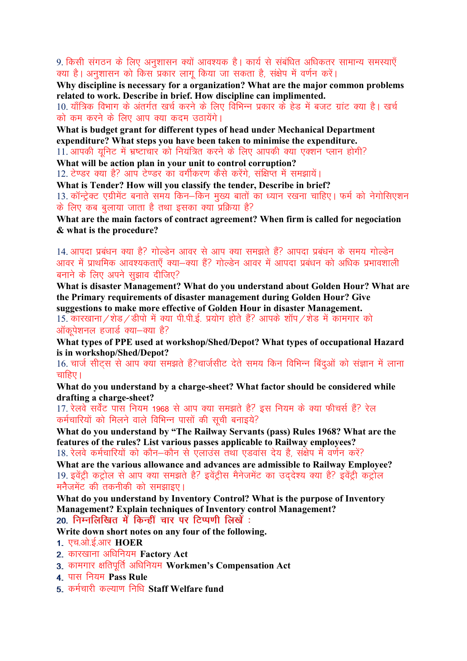9. किसी संगठन के लिए अनुशासन क्यों आवश्यक है। कार्य से संबंधित अधिकतर सामान्य समस्याएँ क्या है। अनुशासन को किस प्रकार लागू किया जा सकता है, संक्षेप में वर्णन करें।

Why discipline is necessary for a organization? What are the major common problems related to work. Describe in brief. How discipline can implimented.

10. याँत्रिक विभाग के अंतर्गत खर्च करने के लिए विभिन्न प्रकार के हेड में बजट ग्रांट क्या है। खर्च को कम करने के लिए आप क्या कदम उठायेंगे।

What is budget grant for different types of head under Mechanical Department expenditure? What steps you have been taken to minimise the expenditure.

11. आपकी यूनिट में भ्रष्टाचार को नियंत्रित करने के लिए आपकी क्या एक्शन प्लान होगी?

What will be action plan in your unit to control corruption?

12. टेण्डर क्या है? आप टेण्डर का वर्गीकरण कैसे करेंगे, संक्षिप्त में समझायें।

What is Tender? How will you classify the tender, Describe in brief?

13. कॉन्ट्रेक्ट एग्रीमेंट बनाते समय किन–किन मुख्य बातों का ध्यान रखना चाहिए। फर्म को नेगोसिएशन के लिए कब बुलाया जाता है तथा इसका क्या प्रक्रिया है?

What are the main factors of contract agreement? When firm is called for negociation & what is the procedure?

14. आपदा प्रबंधन क्या है? गोल्डेन आवर से आप क्या समझते हैं? आपदा प्रबंधन के समय गोल्डेन आवर में प्राथमिक आवश्यकताएँ क्या—क्या हैं? गोल्डेन आवर में आपदा प्रबंधन को अधिक प्रभावशाली बनाने के लिए अपने सझाव दीजिए?

What is disaster Management? What do you understand about Golden Hour? What are the Primary requirements of disaster management during Golden Hour? Give suggestions to make more effective of Golden Hour in disaster Management.

 $15.$  कारखाना / शेड / डीपो में क्या पी.पी.ई. प्रयोग होते हैं? आपके शॉप / शेड में कामगार को ऑकुपेशनल हजार्ड क्या-क्या है?

What types of PPE used at workshop/Shed/Depot? What types of occupational Hazard is in workshop/Shed/Depot?

16. चार्ज सीटस से आप क्या समझते हैं?चार्जसीट देते समय किन विभिन्न बिंदओं को संज्ञान में लाना चाहिए।

What do you understand by a charge-sheet? What factor should be considered while drafting a charge-sheet?

17. रेलवे सर्वेंट पास नियम 1968 से आप क्या समझते हैं? इस नियम के क्या फीचर्स हैं? रेल कर्मचारियों को मिलने वाले विभिन्न पासों की सूची बनाइये?

What do you understand by "The Railway Servants (pass) Rules 1968? What are the features of the rules? List various passes applicable to Railway employees? 18. रेलवे कर्मचारियों को कौन–कौन से एलाउंस तथा एडवांस देय है, संक्षेप में वर्णन करें?

What are the various allowance and advances are admissible to Railway Employee? 19. इवेंट्री कट्रोल से आप क्या समझते है? इवेंट्रीस मैनेजमेंट का उद्देश्य क्या है? इवेंट्री कट्रोल मनैजमेंट की तकनीकी को समझाइए।

What do you understand by Inventory Control? What is the purpose of Inventory Management? Explain techniques of Inventory control Management? 20. निम्नलिखित में किन्हीं चार पर टिप्पणी लिखें:

Write down short notes on any four of the following.

- 1. एच.ओ.ई.आर $\,$  HOER  $\,$
- 2. कारखाना अधिनियम Factory Act
- 3. कामगार क्षतिपर्ति अधिनियम Workmen's Compensation Act
- 4. पास नियम Pass Rule
- 5. कर्मचारी कल्याण निधि Staff Welfare fund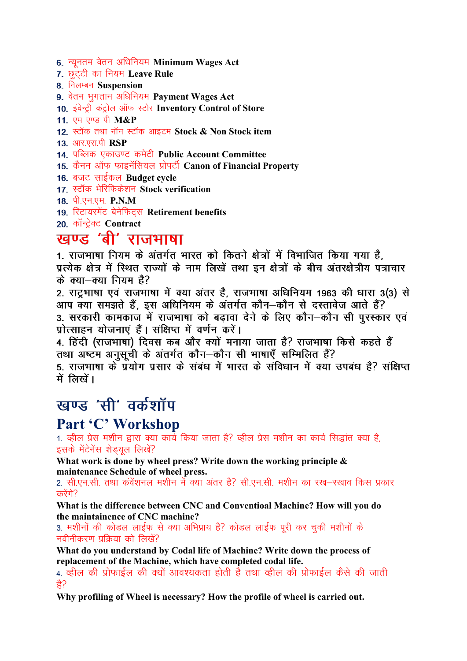6. न्यूनतम वेतन अधिनियम Minimum Wages Act

- 7. छुटटी का नियम Leave Rule
- 8. निलम्बन Suspension
- 9. वेतन भुगतान अधिनियम Payment Wages Act
- 10. इंवेन्ट्री कंट्रोल ऑफ स्टोर Inventory Control of Store
- 11. एम एण्ड पी M&P
- 12. स्टॉक तथा नॉन स्टॉक आइटम Stock & Non Stock item
- 13. आर.एस.पी RSP
- 14. पब्लिक एकाउण्ट कमेटी Public Account Committee
- 15. कैनन ऑफ फाइनेंसियल प्रोपर्टी Canon of Financial Property
- 16. बजट साईकल Budget cycle
- 17. स्टॉक भेरिफिकेशन Stock verification
- 18. पी.एन.एम. P.N.M
- 19. रिटायरमेंट बेनेफिट्स Retirement benefits
- 20. कॉन्ट्रेक्ट Contract

## खण्ड 'बी' राजभाषा

1. राजभाषा नियम के अंतर्गत भारत को कितने क्षेत्रों में विभाजित किया गया है. प्रत्येक क्षेत्र में स्थित राज्यों के नाम लिखें तथा इन क्षेत्रों के बीच अंतरक्षेत्रीय पत्राचार के क्या-क्या नियम है?

2. राटभाषा एवं राजभाषा में क्या अंतर है. राजभाषा अधिनियम 1963 की धारा 3(3) से आप क्या समझते हैं, इस अधिनियम के अंतर्गत कौन-कौन से दस्तावेज आते हैं? 3. सरकारी कामकाज में राजभाषा को बढावा देने के लिए कौन-कौन सी पुरस्कार एवं प्रोत्साहन योजनाएं हैं। संक्षिप्त में वर्णन करें।

4. हिंदी (राजभाषा) दिवस कब और क्यों मनाया जाता है? राजभाषा किसे कहते हैं तथा अष्टम अनुसूची के अंतर्गत कौन–कौन सी भाषाएँ सम्मिलित हैं?

5. राजभाषा के प्रयोग प्रसार के संबंध में भारत के संविधान में क्या उपबंध है? संक्षिप्त में लिखें।

## खण्ड 'सी' वर्कशॉप

## Part 'C' Workshop

1. व्हील प्रेस मशीन द्वारा क्या कार्य किया जाता है? व्हील प्रेस मशीन का कार्य सिद्धांत क्या है, इसके मेंटेनेंस शेड़यूल लिखें?

What work is done by wheel press? Write down the working principle  $\&$ maintenance Schedule of wheel press.

2. सी.एन.सी. तथा कंवेंशनल मशीन में क्या अंतर है? सी.एन.सी. मशीन का रख—रखाव किस प्रकार करेंगे?

What is the difference between CNC and Conventioal Machine? How will you do the maintainence of CNC machine?

3. मशीनों की कोडल लाईफ से क्या अभिप्राय है? कोडल लाईफ पूरी कर चुकी मशीनों के नवीनीकरण प्रक्रिया को लिखें?

What do you understand by Codal life of Machine? Write down the process of replacement of the Machine, which have completed codal life.

4. व्हील की प्रोफाईल की क्यों आवश्यकता होती है तथा व्हील की प्रोफाईल कैसे की जाती ੜ੍ਹੇ?

Why profiling of Wheel is necessary? How the profile of wheel is carried out.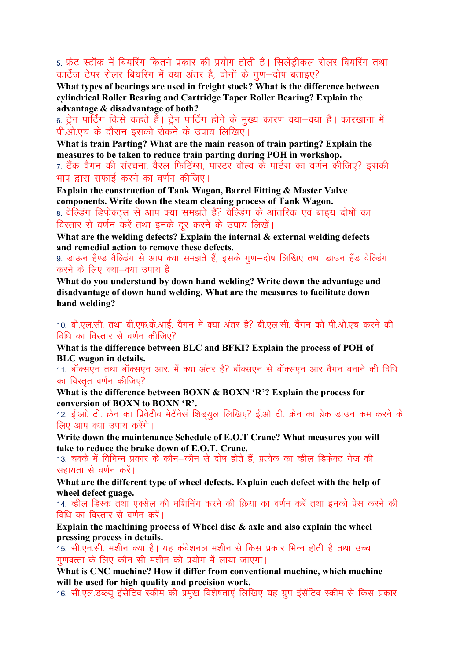5. फ्रेंट स्टॉक में बियरिंग कितने प्रकार की प्रयोग होती है। सिलेंड़ीकल रोलर बियरिंग तथा कार्टेज टेपर रोलर बियरिंग में क्या अंतर है, दोनों के गण-दोष बताइए?

What types of bearings are used in freight stock? What is the difference between cylindrical Roller Bearing and Cartridge Taper Roller Bearing? Explain the advantage & disadvantage of both?

6. ट्रेन पार्टिंग किसे कहते हैं। ट्रेन पार्टिंग होने के मुख्य कारण क्या—क्या है। कारखाना में पी.ओ.एच के दौरान इसको रोकने के उपाय लिखिए।

What is train Parting? What are the main reason of train parting? Explain the measures to be taken to reduce train parting during POH in workshop.

7. टैंक वैगन की संरचना, वैरल फिटिंग्स, मास्टर वॉल्व के पार्टस का वर्णन कीजिए? इसकी भाप द्वारा सफाई करने का वर्णन कीजिए।

Explain the construction of Tank Wagon, Barrel Fitting & Master Valve components. Write down the steam cleaning process of Tank Wagon.

8. वेल्डिंग डिफेक्टस से आप क्या समझते हैं? वेल्डिंग के आंतरिक एवं बाहय दोषों का विस्तार से वर्णन करें तथा इनके दूर करने के उपाय लिखें।

What are the welding defects? Explain the internal  $\&$  external welding defects and remedial action to remove these defects.

9. डाऊन हैण्ड वैल्डिंग से आप क्या समझते हैं. इसके गण-दोष लिखिए तथा डाउन हैंड वेल्डिंग करने के लिए क्या–क्या उपाय है।

What do you understand by down hand welding? Write down the advantage and disadvantage of down hand welding. What are the measures to facilitate down hand welding?

10. बी.एल.सी. तथा बी.एफ.के.आई. वैगन में क्या अंतर है? बी.एल.सी. वैंगन को पी.ओ.एच करने की विधि का विस्तार से वर्णन कीजिए?

What is the difference between BLC and BFKI? Explain the process of POH of **BLC** wagon in details.

11. बॉक्सएन तथा बॉक्सएन आर. में क्या अंतर है? बॉक्सएन से बॉक्सएन आर वैगन बनाने की विधि का विस्तत वर्णन कीजिए?

What is the difference between BOXN & BOXN 'R'? Explain the process for conversion of BOXN to BOXN 'R'.

12. ई.ओ. टी. क्रेन का प्रिवेटीव मेटेंनेसं शिड़युल लिखिए? ई.ओ टी. क्रेन का ब्रेक डाउन कम करने के लिए आप क्या उपाय करेंगे।

Write down the maintenance Schedule of E.O.T Crane? What measures you will take to reduce the brake down of E.O.T. Crane.

13. चक्के में विभिन्न प्रकार के कौन—कौन से दोष होते हैं. प्रत्येक का व्हील डिफेक्ट गेज की सहायता से वर्णन करें।

What are the different type of wheel defects. Explain each defect with the help of wheel defect guage.

14. कील डिस्क तथा एक्सेल की मशिनिंग करने की क्रिया का वर्णन करें तथा इनको प्रेस करने की विधि का विस्तार से वर्णन करें।

Explain the machining process of Wheel disc  $\&$  axle and also explain the wheel pressing process in details.

15. सी.एन.सी. मशीन क्या है। यह कंवेशनल मशीन से किस प्रकार भिन्न होती है तथा उच्च गुणवत्ता के लिए कौन सी मशीन को प्रयोग में लाया जाएगा।

What is CNC machine? How it differ from conventional machine, which machine will be used for high quality and precision work.

16. सी.एल.डब्ल्यू इंसेटिव स्कीम की प्रमुख विशेषताएं लिखिए यह ग्रूप इंसेंटिव स्कीम से किस प्रकार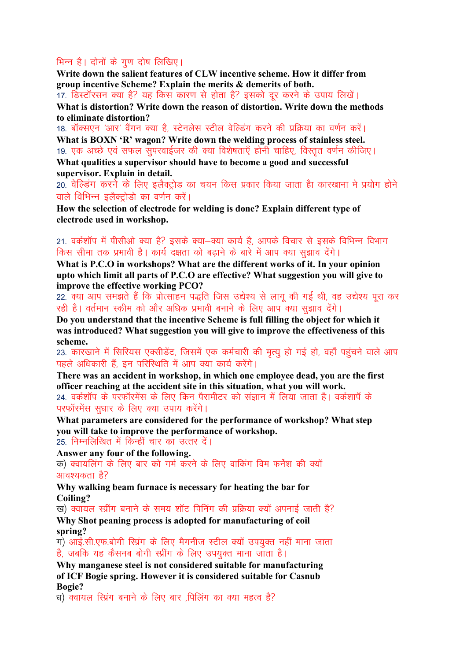#### भिन्न है। दोनों के गण दोष लिखिए।

Write down the salient features of CLW incentive scheme. How it differ from group incentive Scheme? Explain the merits & demerits of both.

17. डिस्टॉरसन क्या है? यह किस कारण से होता है? इसको दूर करने के उपाय लिखें।

What is distortion? Write down the reason of distortion. Write down the methods to eliminate distortion?

18. बॉक्सएन 'आर' वैंगन क्या है, स्टेनलेस स्टील वेल्डिंग करने की प्रक्रिया का वर्णन करें। What is BOXN 'R' wagon? Write down the welding process of stainless steel. 19. एक अच्छे एवं सफल सुपरवाईजर की क्या विशेषताएँ होनी चाहिए, विस्तृत वर्णन कीजिए। What qualities a supervisor should have to become a good and successful supervisor. Explain in detail.

20. वेल्डिंग करने के लिए इलैक्ट्रोड का चयन किस प्रकार किया जाता हैा कारखाना मे प्रयोग होने वाले विभिन्न इलैक्ट्रोडो का वर्णन करें।

How the selection of electrode for welding is done? Explain different type of electrode used in workshop.

#### 21. वर्कशॉप में पीसीओ क्या है? इसके क्या—क्या कार्य है. आपके विचार से इसके विभिन्न विभाग किस सीमा तक प्रभावी है। कार्य दक्षता को बढाने के बारे में आप क्या सूझाव देंगे।

What is P.C.O in workshops? What are the different works of it. In your opinion upto which limit all parts of P.C.O are effective? What suggestion you will give to improve the effective working PCO?

22. क्या आप समझते हैं कि प्रोत्साहन पद्धति जिस उद्येश्य से लाग की गई थी. वह उद्येश्य परा कर रही है। वर्तमान स्कीम को और अधिक प्रभावी बनाने के लिए आप क्या सझाव देंगे।

Do you understand that the incentive Scheme is full filling the object for which it was introduced? What suggestion you will give to improve the effectiveness of this scheme.

23. कारखाने में सिरियस एक्सीडेंट, जिसमें एक कर्मचारी की मृत्यू हो गई हो, वहाँ पहुंचने वाले आप पहले अधिकारी हैं, इन परिस्थिति में आप क्या कार्य करेंगे।

There was an accident in workshop, in which one employee dead, you are the first officer reaching at the accident site in this situation, what you will work. 24. वर्कशॉप के परफॉरमेंस के लिए किन पैरामीटर को संज्ञान में लिया जाता है। वर्कशापँ के परफॉरमेंस सूधार के लिए क्या उपाय करेंगे।

What parameters are considered for the performance of workshop? What step you will take to improve the performance of workshop. 25. निम्नलिखित में किन्हीं चार का उत्तर दें।

Answer any four of the following.

क) क्वायलिंग के लिए बार को गर्म करने के लिए वाकिंग विम फर्नेश की क्यों आवश्यकता है?

Why walking beam furnace is necessary for heating the bar for Coiling?

ख) क्वायल स्प्रींग बनाने के समय शॉट पिनिंग की प्रक्रिया क्यों अपनाई जाती है?

Why Shot peaning process is adopted for manufacturing of coil spring?

ग) आई.सी.एफ.बोगी स्प्रिंग के लिए मैगनीज स्टील क्यों उपयक्त नहीं माना जाता है, जबकि यह कैसनब बोगी स्प्रींग के लिए उपयुक्त माना जाता है।

Why manganese steel is not considered suitable for manufacturing of ICF Bogie spring. However it is considered suitable for Casnub **Bogie?** 

ध) क्वायल स्प्रिंग बनाने के लिए बार पिलिंग का क्या महत्व है?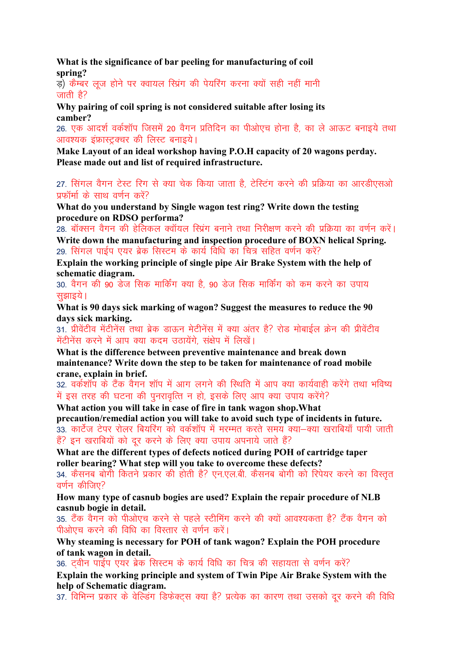What is the significance of bar peeling for manufacturing of coil spring?

ड) कैम्बर लज होने पर क्वायल रिप्रंग की पेयरिंग करना क्यों सही नहीं मानी जाती है?

Why pairing of coil spring is not considered suitable after losing its camber?

26. एक आदर्श वर्कशॉप जिसमें 20 वैगन प्रतिदिन का पीओएच होना है, का ले आऊट बनाइये तथा आवश्यक इंफ्रास्ट्रक्चर की लिस्ट बनाइये।

Make Lavout of an ideal workshop having P.O.H capacity of 20 wagons perday. Please made out and list of required infrastructure.

27. सिंगल वैगन टेस्ट रिग से क्या चेक किया जाता है. टेस्टिंग करने की प्रक्रिया का आरडीएसओ प्रफॉर्मा के साथ वर्णन करें?

What do you understand by Single wagon test ring? Write down the testing procedure on RDSO performa?

28. बॉक्सन वैगन की हेलिकल क्वॉयल रिग्रंग बनाने तथा निरीक्षण करने की प्रक्रिया का वर्णन करें। Write down the manufacturing and inspection procedure of BOXN helical Spring. 29. सिंगल पाईप एयर ब्रेक सिस्टम के कार्य विधि का चित्र सहित वर्णन करें?

Explain the working principle of single pipe Air Brake System with the help of schematic diagram.

30. वैगन की 90 डेज सिक मार्किंग क्या है. 90 डेज सिक मार्किंग को कम करने का उपाय सझाइये।

What is 90 days sick marking of wagon? Suggest the measures to reduce the 90 days sick marking.

31. प्रीवेंटीव मेंटीनेंस तथा ब्रेक डाऊन मेटीनेंस में क्या अंतर है? रोड मोबाईल क्रेन की प्रीवेंटीव मेंटीनेंस करने में आप क्या कदम उठायेंगे. संक्षेप में लिखें।

What is the difference between preventive maintenance and break down maintenance? Write down the step to be taken for maintenance of road mobile crane, explain in brief.

32. वर्कशॉप के टैंक वैगन शॉप में आग लगने की स्थिति में आप क्या कार्यवाही करेंगे तथा भविष्य में इस तरह की घटना की पुनरावृत्ति न हो, इसके लिए आप क्या उपाय करेंगे?

What action you will take in case of fire in tank wagon shop. What

precaution/remedial action you will take to avoid such type of incidents in future. 33. कार्टेज टेपर रोलर बियरिंग को वर्कशॉप में मरम्मत करते समय क्या-क्या खराबियाँ पायी जाती हैं? इन खराबियों को दूर करने के लिए क्या उपाय अपनाये जाते हैं?

What are the different types of defects noticed during POH of cartridge taper roller bearing? What step will you take to overcome these defects? 34. कैसनब बोगी कितने प्रकार की होती है? एन.एल.बी. कैसनब बोगी को रिपेयर करने का विस्तत वर्णन कीजिए $\Omega$ 

How many type of casnub bogies are used? Explain the repair procedure of NLB casnub bogie in detail.

35. टैंक वैगन को पीओएच करने से पहले स्टीमिंग करने की क्यों आवश्यकता है? टैंक वैगन को पीओएच करने की विधि का विस्तार से वर्णन करें।

Why steaming is necessary for POH of tank wagon? Explain the POH procedure of tank wagon in detail.

36. टवीन पाईप एयर ब्रेक सिस्टम के कार्य विधि का चित्र की सहायता से वर्णन करें?

Explain the working principle and system of Twin Pipe Air Brake System with the help of Schematic diagram.

37. विभिन्न प्रकार के वेल्डिंग डिफेक्टस क्या है? प्रत्येक का कारण तथा उसको दर करने की विधि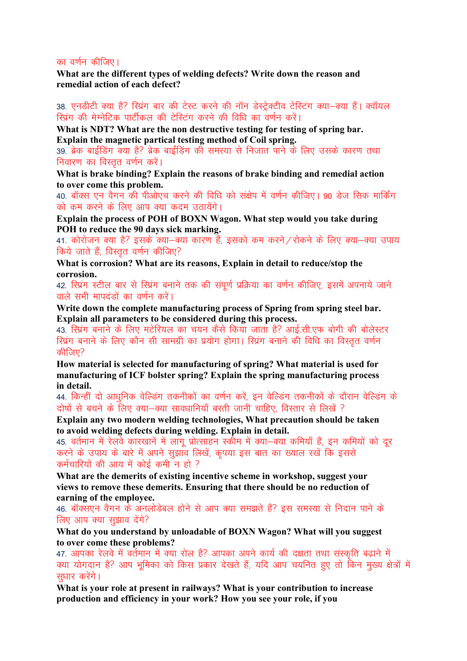#### का वर्णन कीजिए।

What are the different types of welding defects? Write down the reason and remedial action of each defect?

38. एनडीटी क्या है? स्प्रिंग बार की टेस्ट करने की नॉन डेस्ट्रेक्टीव टेस्टिंग क्या—क्या हैं। क्वॉयल रिप्रंग की मेग्नेटिक पार्टीकल की टेस्टिंग करने की विधि का वर्णन करें।

What is NDT? What are the non destructive testing for testing of spring bar. Explain the magnetic partical testing method of Coil spring.

39. ब्रेक बाईंडिंग क्या है? ब्रेक बाईंडिंग की समस्या से निजात पाने के लिए उसके कारण तथा निवारण का विस्तुत वर्णन करें।

What is brake binding? Explain the reasons of brake binding and remedial action to over come this problem.

40. बॉक्स एन वैगन की पीओएच करने की विधि को संक्षेप में वर्णन कीजिए। 90 डेज सिक मार्किंग को कम करने के लिए आप क्या कदम उठायेंगे।

Explain the process of POH of BOXN Wagon. What step would you take during POH to reduce the 90 days sick marking.

41. कोरोजन क्या है? इसके क्या-क्या कारण हैं, इसको कम करने / रोकने के लिए क्या-क्या उपाय किये जाते हैं, विस्तत वर्णन कीजिए?

What is corrosion? What are its reasons, Explain in detail to reduce/stop the corrosion.

42. रिप्रंग स्टील बार से रिप्रंग बनाने तक की संपूर्ण प्रक्रिया का वर्णन कीजिए, इसमें अपनाये जाने वाले सभी मापदंडों का वर्णन करें।

Write down the complete manufacturing process of Spring from spring steel bar. Explain all parameters to be considered during this process.

43. स्प्रिंग बनाने के लिए मटेरियल का चयन कैसे किया जाता है? आई.सी.एफ बोगी की बोलेस्टर स्प्रिंग बनाने के लिए कौन सी सामग्री का प्रयोग होगा। स्प्रिंग बनाने की विधि का विस्तत वर्णन कीजिए?

How material is selected for manufacturing of spring? What material is used for manufacturing of ICF bolster spring? Explain the spring manufacturing process in detail.

44. किन्हीं दो आधुनिक वेल्डिंग तकनीकों का वर्णन करें, इन वेल्डिंग तकनीकों के दौरान वेल्डिंग के दोषों से बचने के लिए क्या-क्या सावधानियाँ बरती जानी चाहिए विस्तार से लिखें ?

Explain any two modern welding technologies, What precaution should be taken to avoid welding defects during welding. Explain in detail.

45. वर्तमान में रेलवे कारखानें में लागू प्रोत्साहन स्कीम में क्या—क्या कमियाँ हैं, इन कमियों को दूर करने के उपाय के बारे में अपने सुझाव लिखें, कृपया इस बात का ख्याल रखें कि इससे कर्मचारियों की आय में कोई कमी न हो ?

What are the demerits of existing incentive scheme in workshop, suggest your views to remove these demerits. Ensuring that there should be no reduction of earning of the employee.

46. बॉक्सएन वैगन के अनलोडेबल होने से आप क्या समझते हैं? इस समस्या से निदान पाने के लिए आप क्या सझाव देंगे?

What do you understand by unloadable of BOXN Wagon? What will you suggest to over come these problems?

47. आपका रेलवे में वर्तमान में क्या रोल है? आपका अपने कार्य की दक्षता तथा संस्कृति बढ़ाने में क्या योगदान है? आप भूमिका को किस प्रकार देखते हैं, यदि आप चयनित हुए तो किन मुख्य क्षेत्रों में सधार करेंगे।

What is your role at present in railways? What is your contribution to increase production and efficiency in your work? How you see your role, if you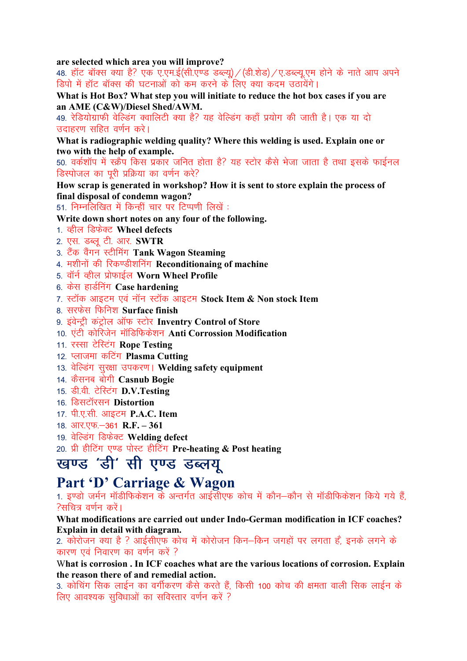are selected which area you will improve?

48. हॉट बॉक्स क्या है? एक ए.एम.ई(सी.एण्ड डब्ल्यू) / (डी.शेड) / ए.डब्ल्यू.एम होने के नाते आप अपने डिपो में हॉट बॉक्स की घटनाओं को कम करने के लिए क्या कदम उठायेंगे।

What is Hot Box? What step you will initiate to reduce the hot box cases if you are an AME (C&W)/Diesel Shed/AWM.

49. रेडियोग्राफी वेल्डिंग क्वालिटी क्या है? यह वेल्डिंग कहाँ प्रयोग की जाती है। एक या दो उदाहरण सहित वर्णन करे।

What is radiographic welding quality? Where this welding is used. Explain one or two with the help of example.

50. वर्कशॉप में स्क्रैप किस प्रकार जनित होता है? यह स्टोर कैसे भेजा जाता है तथा इसके फाईनल डिस्पोजल का पूरी प्रक्रिया का वर्णन करे?

How scrap is generated in workshop? How it is sent to store explain the process of final disposal of condemn wagon?

51. निम्नलिखित में किन्हीं चार पर टिप्पणी लिखें:

- Write down short notes on any four of the following.
- 1. कील डिफेक्ट Wheel defects
- 2. एस. डब्लू टी. आर. **SWTR**
- 3. टैंक वैंगन स्टीमिंग Tank Wagon Steaming
- 4. मशीनों की रिकण्डीशनिंग Reconditionaing of machine
- 5. वॉर्न व्हील प्रोफाईल Worn Wheel Profile
- 6. केस हार्डनिंग Case hardening
- 7. स्टॉक आइटम एवं नॉन स्टॉक आइटम Stock Item & Non stock Item
- 8. सरफेस फिनिश Surface finish
- 9. इंवेन्ट्री कंट्रोल ऑफ स्टोर Inventry Control of Store
- 10. एंटी कोरिजेन मॉडिफिकेशन Anti Corrossion Modification
- 11. रस्सा टेस्टिंग Rope Testing
- 12. प्लाजमा कटिंग Plasma Cutting
- 13. वेल्डिंग सुरक्षा उपकरण। Welding safety equipment
- 14. कैसनब बोगी Casnub Bogie
- 15. डी.वी. टेस्टिंग D.V.Testing
- 16. डिसटॉरसन Distortion
- 17. पी.ए.सी. आइटम P.A.C. Item
- 18. आर.एफ. 361 R.F. 361
- 19. वेल्डिंग डिफेक्ट Welding defect
- 20. प्री हीटिंग एण्ड पोस्ट हीटिंग Pre-heating & Post heating

## खण्ड 'डी' सी एण्ड डब्लयू

## Part 'D' Carriage & Wagon

1. इण्डो जर्मन मॉडीफिकेशन के अन्तर्गत आईसीएफ कोच में कौन—कौन से मॉडीफिकेशन किये गये हैं. ?सचित्र वर्णन करें।

What modifications are carried out under Indo-German modification in ICF coaches? Explain in detail with diagram.

2. कोरोजन क्या है ? आईसीएफ कोच में कोरोजन किन–किन जगहों पर लगता हैं. इनके लगने के कारण एवं निवारण का वर्णन करें ?

What is corrosion . In ICF coaches what are the various locations of corrosion. Explain the reason there of and remedial action.

3. कोचिंग सिक लाईन का वर्गीकरण कैसे करते हैं, किसी 100 कोच की क्षमता वाली सिक लाईन के लिए आवश्यक सविधाओं का सविस्तार वर्णन करें ?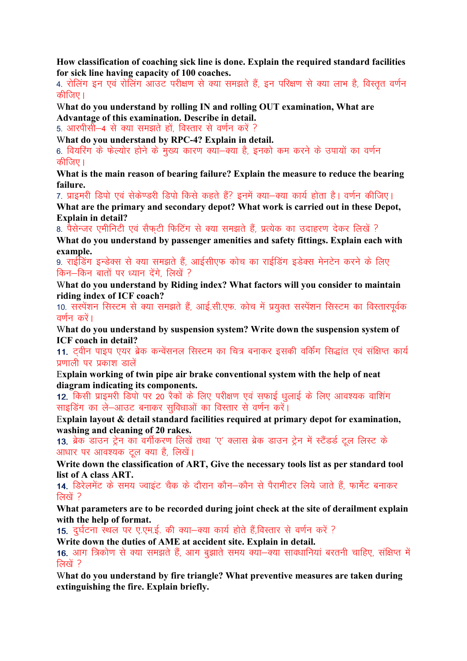How classification of coaching sick line is done. Explain the required standard facilities for sick line having capacity of 100 coaches.

4. रोलिंग इन एवं रोलिंग आउट परीक्षण से क्या समझते हैं, इन परिक्षण से क्या लाभ है, विस्तत वर्णन कीजिए । $\overline{a}$ 

What do you understand by rolling IN and rolling OUT examination, What are Advantage of this examination. Describe in detail.

5. आरपीसी—4 से क्या समझते हों. विस्तार से वर्णन करें ?

What do you understand by RPC-4? Explain in detail.

6. वियरिंग के फेल्योर होने के मुख्य कारण क्या–क्या है, इनको कम करने के उपायों का वर्णन कीजिए ।

What is the main reason of bearing failure? Explain the measure to reduce the bearing failure.

7. प्राइमरी डिपो एवं सेकेण्डरी डिपो किसे कहते हैं? इनमें क्या—क्या कार्य होता है। वर्णन कीजिए।

What are the primary and secondary depot? What work is carried out in these Depot, Explain in detail?

8. पैसेन्जर एमीनिटी एवं सैफटी फिटिंग से क्या समझते हैं. प्रत्येक का उदाहरण देकर लिखें ?

What do you understand by passenger amenities and safety fittings. Explain each with example.

9. राईडिंग इन्डेक्स से क्या समझते हैं, आईसीएफ कोच का राईडिंग इडेक्स मेनटेन करने के लिए किन-किन बातों पर ध्यान देंगे. लिखें ?

What do you understand by Riding index? What factors will you consider to maintain riding index of ICF coach?

10. संस्पेंशन सिस्टम से क्या समझते हैं, आई.सी.एफ. कोच में प्रयक्त सस्पेंशन सिस्टम का विस्तारपर्वक वर्णन करें।

What do you understand by suspension system? Write down the suspension system of ICF coach in detail?

11. टवीन पाइप एयर ब्रेक कन्वेंसनल सिस्टम का चित्र बनाकर इसकी वर्किंग सिद्धांत एवं संक्षिप्त कार्य प्रणाली पर प्रकाश डालें

Explain working of twin pipe air brake conventional system with the help of neat diagram indicating its components.

12. किसी प्राइमरी डिपो पर 20 रैकों के लिए परीक्षण एवं सफाई धूलाई के लिए आवश्यक वाशिंग साइडिंग का ले-आउट बनाकर सुविधाओं का विस्तार से वर्णन करें।

Explain layout & detail standard facilities required at primary depot for examination, washing and cleaning of 20 rakes.

13. ब्रेक डाउन ट्रेन का वर्गीकरण लिखें तथा 'ए' क्लास ब्रेक डाउन ट्रेन में स्टैंडर्ड टूल लिस्ट के आधार पर आवश्यक टल क्या है, लिखें।

Write down the classification of ART, Give the necessary tools list as per standard tool list of A class ART.

14. डिरेलमेंट के समय ज्वाइंट चैक के दौरान कौन–कौन से पैरामीटर लिये जाते हैं. फार्मेट बनाकर लिखें ?

What parameters are to be recorded during joint check at the site of derailment explain with the help of format.

15. दुर्घटना स्थल पर ए.एम.ई. की क्या-क्या कार्य होते हैं,विस्तार से वर्णन करें ?

Write down the duties of AME at accident site. Explain in detail.

16. आग त्रिकोण से क्या समझते हैं, आग बुझाते समय क्या–क्या सावधानियां बरतनी चाहिए, संक्षिप्त में लिखें ?

What do you understand by fire triangle? What preventive measures are taken during extinguishing the fire. Explain briefly.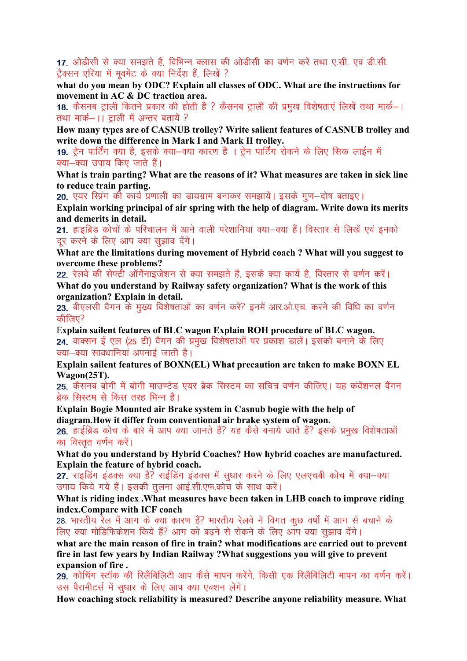17. ओडीसी से क्या समझते हैं, विभिन्न क्लास की ओडीसी का वर्णन करें तथा ए.सी. एवं डी.सी. ट्रैक्सन एरिया में मुवमेंट के क्या निर्देश हैं, लिखें ?

what do you mean by ODC? Explain all classes of ODC. What are the instructions for movement in AC & DC traction area.

18. कैसनब ट्राली कितने प्रकार की होती है ? कैसनब ट्राली की प्रमुख विशेषताएं लिखें तथा मार्क–। तथा मार्क–।। टाली में अन्तर बतायें ?

How many types are of CASNUB trolley? Write salient features of CASNUB trolley and write down the difference in Mark I and Mark II trolley.

19. टेन पार्टिंग क्या है. इसके क्या—क्या कारण है)। टेन पार्टिंग रोकने के लिए सिक लाईन में क्या-क्या उपाय किए जाते हैं।

What is train parting? What are the reasons of it? What measures are taken in sick line to reduce train parting.

20. एयर स्प्रिंग की कार्य प्रणाली का डायग्राम बनाकर समझायें। इसके गण-दोष बताइए।

Explain working principal of air spring with the help of diagram. Write down its merits and demerits in detail.

21. हाइब्रिड कोचों के परिचालन में आने वाली परेशानियां क्या-क्या हैं। विस्तार से लिखें एवं इनको दर करने के लिए आप क्या सुझाव देंगे।

What are the limitations during movement of Hybrid coach ? What will you suggest to overcome these problems?

22. रेलवे की सेफ्टी ऑर्गेनाइजेशन से क्या समझते हैं. इसके क्या कार्य है. विस्तार से वर्णन करें। What do you understand by Railway safety organization? What is the work of this

organization? Explain in detail.

23. बीएलसी वैगन के मुख्य विशेषताओं का वर्णन करें? इनमें आर.ओ.एच. करने की विधि का वर्णन कीजिए $?$ 

Explain sailent features of BLC wagon Explain ROH procedure of BLC wagon. 24. वाक्सन ई एल (25 टी) वैगन की प्रमख विशेषताओं पर प्रकाश डालें। इसको बनाने के लिए क्या-क्या सावधानियां अपनाई जाती है।

Explain sailent features of BOXN(EL) What precaution are taken to make BOXN EL Wagon(25T).

25. कैसनब बीगी में बोगी माउण्टेड एयर ब्रेक सिस्टम का सचित्र वर्णन कीजिए। यह कंवेंशनल वैंगन ब्रेक सिस्टम से किस तरह भिन्न है।

Explain Bogie Mounted air Brake system in Casnub bogie with the help of diagram.How it differ from conventional air brake system of wagon.

26. हाईब्रिड कोच के बारे में आप क्या जानते हैं? यह कैसे बनाये जाते हैं? इसके प्रमुख विशेषताओं का विस्तुत वर्णन करें।

What do you understand by Hybrid Coaches? How hybrid coaches are manufactured. Explain the feature of hybrid coach.

27. राइडिंग इंडक्स क्या है? राईडिंग इंडक्स में सुधार करने के लिए एलएचबी कोच में क्या-क्या उपाय किये गये हैं। इसकी तलना आई.सी.एफ.कोच के साथ करें।

What is riding index .What measures have been taken in LHB coach to improve riding index.Compare with ICF coach

28. भारतीय रेल में आग के क्या कारण हैं? भारतीय रेलवे ने विगत कछ वर्षों में आग से बचाने के लिए क्या मोडिफिकेशन किये हैं? आग को बढने से रोकने के लिए आप क्या सझाव देंगे।

what are the main reason of fire in train? what modifications are carried out to prevent fire in last few years by Indian Railway ?What suggestions you will give to prevent expansion of fire .

29. कोचिंग स्टॉक की रिलैबिलिटी आप कैसे मापन करेंगे, किसी एक रिलैबिलिटी मापन का वर्णन करें। उस पैरामीटर्स में सुधार के लिए आप क्या एक्शन लेंगे।

How coaching stock reliability is measured? Describe anyone reliability measure. What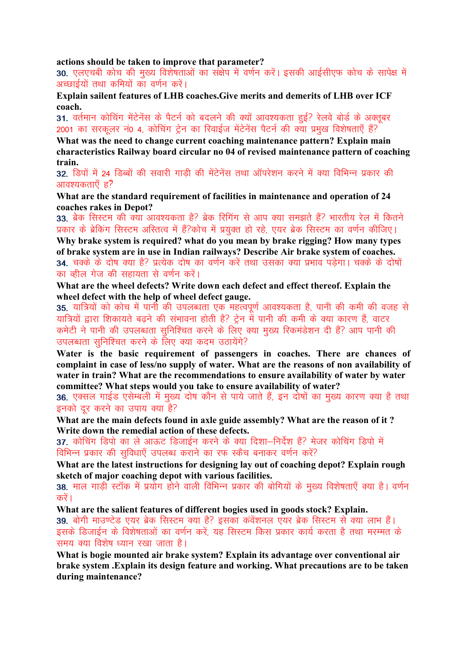#### actions should be taken to improve that parameter?

30. एलएचबी कोच की मुख्य विशेषताओं का संक्षेप में वर्णन करें। इसकी आईसीएफ कोच के सापेक्ष में अच्छाईयों तथा कमियों का वर्णन करें।

Explain sailent features of LHB coaches.Give merits and demerits of LHB over ICF coach.

31. वर्तमान कोचिंग मेंटेनेंस के पैटर्न को बदलने की क्यों आवश्यकता हुई? रेलवे बोर्ड के अक्तबर 2001 का सरकलर नं0 4, कोचिंग ट्रेन का रिवाईज मेंटेनेंस पैटर्न की क्या प्रमुख विशेषताएँ हैं?

What was the need to change current coaching maintenance pattern? Explain main characteristics Railway board circular no 04 of revised maintenance pattern of coaching train.

32. डिपों में 24 डिब्बों की सवारी गाड़ी की मेंटेनेंस तथा ऑपरेशन करने में क्या विभिन्न प्रकार की आवश्यकताएँ ह $\bar{z}$ 

What are the standard requirement of facilities in maintenance and operation of 24 coaches rakes in Depot?

33. ब्रेक सिस्टम की क्या आवश्यकता है? ब्रेक रिगिंग से आप क्या समझते हैं? भारतीय रेल में कितने प्रकार के ब्रेकिंग सिस्टम अस्तित्व में हैं?कोच में प्रयक्त हो रहे. एयर ब्रेक सिस्टम का वर्णन कीजिए।

Why brake system is required? what do you mean by brake rigging? How many types of brake system are in use in Indian railways? Describe Air brake system of coaches. 34. चक्के के दोष क्या है? प्रत्येक दोष का वर्णन करें तथा उसका क्या प्रभाव पडेगा। चक्के के दोषों का व्हील गेज की सहायता से वर्णन करें।

What are the wheel defects? Write down each defect and effect thereof. Explain the wheel defect with the help of wheel defect gauge.

35. यात्रियों को कोच में पानी की उपलब्धता एक महत्वपूर्ण आवश्यकता है, पानी की कमी की वजह से यात्रियों द्वारा शिकायते बढने की संभावना होती है? टेन में पानी की कमी के क्या कारण हैं, वाटर कमेटी ने पानी की उपलब्धता सुनिश्चित करने के लिए क्या मुख्य रिकमंडेशन दी हैं? आप पानी की उपलब्धता सुनिश्चित करने के लिए क्या कदम उठायेंगे?

Water is the basic requirement of passengers in coaches. There are chances of complaint in case of less/no supply of water. What are the reasons of non availability of water in train? What are the recommendations to ensure availability of water by water committee? What steps would you take to ensure availability of water?

36. एक्सल गाईड एसेम्बली में मुख्य दोष कौन से पाये जाते हैं, इन दोषों का मुख्य कारण क्या है तथा इनको दर करने का उपाय क्या है?

What are the main defects found in axle guide assembly? What are the reason of it ? Write down the remedial action of these defects.

37. कोचिंग डिपो का ले आऊट डिजाईन करने के क्या दिशा–निर्देश हैं? मेजर कोचिंग डिपो में विभिन्न प्रकार की सुविधाएँ उपलब्ध कराने का रफ स्कैच बनाकर वर्णन करें?

What are the latest instructions for designing lay out of coaching depot? Explain rough sketch of major coaching depot with various facilities.

38. माल गाडी स्टॉक में प्रयोग होने वाली विभिन्न प्रकार की बोगियों के मुख्य विशेषताएँ क्या है। वर्णन करें ।

What are the salient features of different bogies used in goods stock? Explain.

39. बोगी माउण्टेड एयर ब्रेक सिस्टम क्या है? इसका कंवेंशनल एयर ब्रेक सिस्टम से क्या लाभ हैं। इसके डिजाईन के विशेषताओं का वर्णन करें. यह सिस्टम किस प्रकार कार्य करता है तथा मरम्मत के समय क्या विशेष ध्यान रखा जाता है।

What is bogie mounted air brake system? Explain its advantage over conventional air brake system .Explain its design feature and working. What precautions are to be taken during maintenance?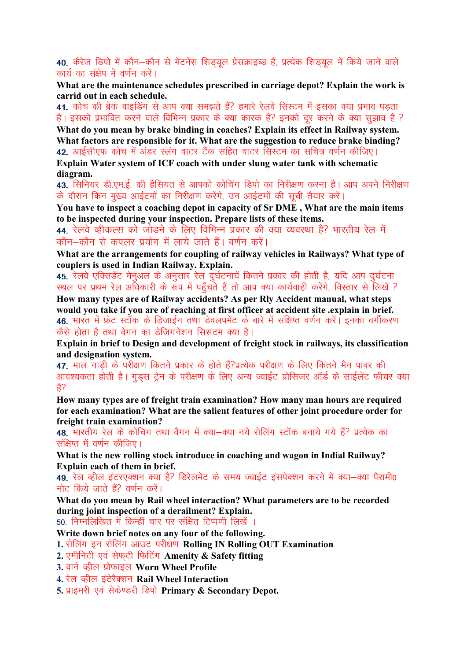40. कैरेज डिपो में कौन–कौन से मेंटनेंस शिड़यूल प्रेसक्राइब्ड हैं, प्रत्येक शिड़यूल में किये जाने वाले कार्य का संक्षेप में वर्णन करें।

What are the maintenance schedules prescribed in carriage depot? Explain the work is carrid out in each schedule.

41. कोच की ब्रेक बाइडिंग से आप क्या समझते हैं? हमारे रेलवे सिस्टम में इसका क्या प्रभाव पड़ता है। इसको प्रभावित करने वाले विभिन्न प्रकार के क्या कारक हैं? इनको दर करने के क्या सझाव हैं ?

What do you mean by brake binding in coaches? Explain its effect in Railway system. What factors are responsible for it. What are the suggestion to reduce brake binding? 42. आईसीएफ कोच में अंडर स्लंग वाटर टैंक सहित वाटर सिस्टम का सचित्र वर्णन कीजिए। Explain Water system of ICF coach with under slung water tank with schematic

diagram.

43. सिनियर डी.एम.ई. की हैसियत से आपको कोचिंग डिपो का निरीक्षण करना है। आप अपने निरीक्षण के दौरान किन मुख्य आईटमों का निरीक्षण करेंगे, उन आईटमों की सूची तैयार करें।

You have to inspect a coaching depot in capacity of Sr DME , What are the main items to be inspected during your inspection. Prepare lists of these items.

44. रेलवे व्हीकल्स को जोडने के लिए विभिन्न प्रकार की क्या व्यवस्था है? भारतीय रेल में कौन–कौन से कपलर प्रयोग में लाये जाते हैं। वर्णन करें।

What are the arrangements for coupling of railway vehicles in Railways? What type of couplers is used in Indian Railway. Explain.

45. रेलवे एक्सिडेंट मेनुअल के अनुसार रेल दुर्घटनायें कितने प्रकार की होती है, यदि आप दुर्घटना स्थल पर प्रथम रेल अधिकारी के रूप में पहुँचते हैं तो आप क्या कार्यवाही करेंगे, विस्तार से लिखें ?

How many types are of Railway accidents? As per Rly Accident manual, what steps would you take if you are of reaching at first officer at accident site .explain in brief. 46. भारत में फ्रेट स्टॉक के डिजाईन तथा डेवलपमेंट के बारे में संक्षिप्त वर्णन करें। इनका वर्गीकरण कैसे होता है तथा वेगन का डेजिगनेशन सिसटम क्या है।

Explain in brief to Design and development of freight stock in railways, its classification and designation system.

47. माल गाडी के परीक्षण कितने प्रकार के होते हैं?प्रत्येक परीक्षण के लिए कितने मैन पावर की आवश्यकता होती है। गडस टेन के परीक्षण के लिए अन्य ज्वाईंट प्रोसिजर ऑर्ड के साईलेंट फीचर क्या ੜ੍ਹੇਂ?

How many types are of freight train examination? How many man hours are required for each examination? What are the salient features of other joint procedure order for freight train examination?

48. भारतीय रेल के कोचिंग तथा वैंगन में क्या-क्या नये रोलिंग स्टॉक बनाये गये हैं? प्रत्येक का संक्षिप्त में वर्णन कीतिए।

What is the new rolling stock introduce in coaching and wagon in Indial Railway? Explain each of them in brief.

49. रेल व्हील इंटरएक्शन क्या है? डिरेलमेंट के समय ज्वाईंट इंसपेक्शन करने में क्या—क्या पैरामी0 नोट किये जाते हैं? वर्णन करें।

What do you mean by Rail wheel interaction? What parameters are to be recorded during joint inspection of a derailment? Explain.

50. निम्नलिखित में किन्हीं चार पर संक्षित टिप्पणी लिखें ।

Write down brief notes on any four of the following.

1. रोलिंग इन रोलिंग आउट परीक्षण Rolling IN Rolling OUT Examination

2. एमीनिटी एवं सेफटी फिटिंग Amenity & Safety fitting

3. वार्न व्हील प्रोफाइल Worn Wheel Profile

4. रेल व्हील इंटेरैक्शन Rail Wheel Interaction

5. प्राइमरी एवं सेकेण्डरी डिपो Primary & Secondary Depot.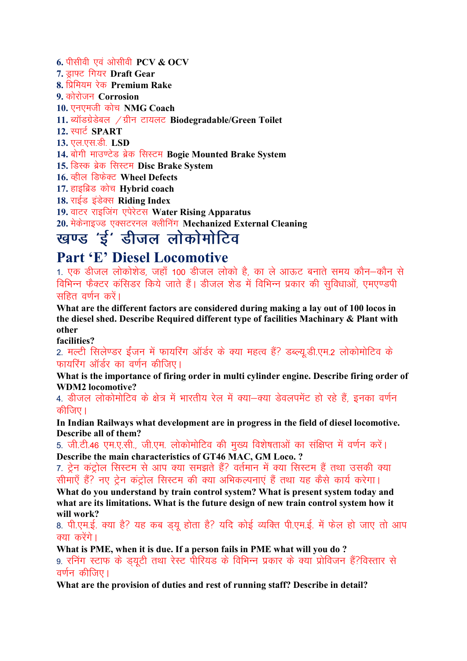6. पीसीवी एवं ओसीवी  $PCV$  &  $OCV$ 

7. ड़ाफ्ट गियर Draft Gear

8. प्रिमियम रेक Premium Rake

9. कोरोजन Corrosion

10. एनएमजी कोच NMG Coach

11. ब्यॉडग्रेडेबल / ग्रीन टायलट Biodegradable/Green Toilet

#### 12. स्पार्ट SPART

13. एल.एस.डी. LSD

14. बोगी माउण्टेड ब्रेक सिस्टम Bogie Mounted Brake System

15. डिस्क ब्रेक सिस्टम Disc Brake System

16. कील डिफेक्ट Wheel Defects

17. हाइब्रिड कोच Hybrid coach

18. राईड इंडेक्स Riding Index

19. वाटर राइजिंग एपेरेटस Water Rising Apparatus

# 20. मेकेनाइज्ड एक्सटरनल क्लीनिंग Mechanized External Cleaning<br>खण्ड 'ई' डीजल लोकोमोटिव

## Part 'E' Diesel Locomotive

1. एक डीजल लोकोशेड, जहाँ 100 डीजल लोको है, का ले आऊट बनाते समय कौन—कौन से विभिन्न फैक्टर कंसिडर किये जाते हैं। डीजल शेड में विभिन्न प्रकार की सुविधाओं, एमएण्डपी सहित वर्णन करें।

What are the different factors are considered during making a lay out of 100 locos in the diesel shed. Describe Required different type of facilities Machinary & Plant with other

facilities?

2. मल्टी सिलेण्डर ईंजन में फायरिंग ऑर्डर के क्या महत्व हैं? डब्ल्यू.डी.एम.2 लोकोमोटिव के फायरिंग ऑर्डर का वर्णन कीजिए।

What is the importance of firing order in multi cylinder engine. Describe firing order of WDM2 locomotive?

4. डीजल लोकोमोटिव के क्षेत्र में भारतीय रेल में क्या—क्या डेवलपमेंट हो रहे हैं, इनका वर्णन कीजिए।

In Indian Railways what development are in progress in the field of diesel locomotive. Describe all of them?

5. जी.टी.46 एम.ए.सी., जी.एम. लोकोमोटिव की मख्य विशेषताओं का संक्षिप्त में वर्णन करें। Describe the main characteristics of GT46 MAC, GM Loco. ?

7. ट्रेन कंट्रोल सिस्टम से आप क्या समझते हैं? वर्तमान में क्या सिस्टम हैं तथा उसकी क्या सीमाएँ हैं? नए ट्रेन कंट्रोल सिस्टम की क्या अभिकल्पनाएं हैं तथा यह कैसे कार्य करेगा।

What do you understand by train control system? What is present system today and what are its limitations. What is the future design of new train control system how it will work?

8. पी.एम.ई. क्या है? यह कब ड़यू होता है? यदि कोई व्यक्ति पी.एम.ई. में फेल हो जाए तो आप क्या करेंगे।

What is PME, when it is due. If a person fails in PME what will you do ? 9. रनिंग स्टाफ के ड्यूटी तथा रेस्ट पीरियड के विभिन्न प्रकार के क्या प्रोविजन हैं?विस्तार से  $\overline{a}$ र्णन कीजिए।

What are the provision of duties and rest of running staff? Describe in detail?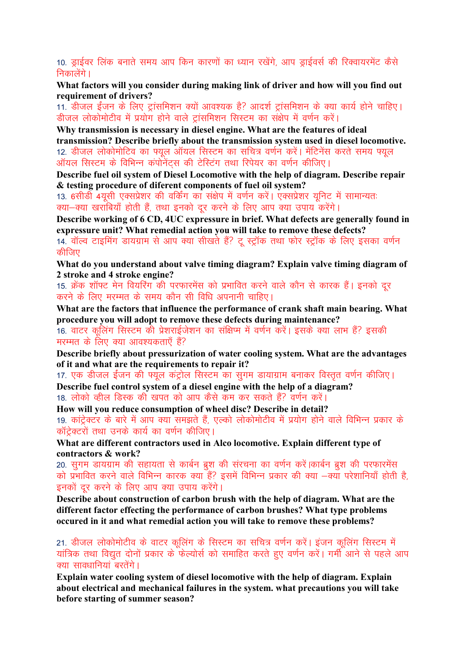10. ड्राईवर लिंक बनाते समय आप किन कारणों का ध्यान रखेंगे, आप ड्राईवर्स की रिक्वायरमेंट कैसे निकालेंगे ।

What factors will you consider during making link of driver and how will you find out requirement of drivers?

11. डीजल ईंजन के लिए ट्रांसमिशन क्यों आवश्यक है? आदर्श ट्रांसमिशन के क्या कार्य होने चाहिए। डीजल लोकोमोटीव में प्रयोग होने वाले टांसमिशन सिस्टम का संक्षेप में वर्णन करें।

Why transmission is necessary in diesel engine. What are the features of ideal transmission? Describe briefly about the transmission system used in diesel locomotive. 12. डीजल लोकोमोटिव का फ्यल ऑयल सिस्टम का सचित्र वर्णन करें। मेंटिनेंस करते समय फ्यल ऑयल सिस्टम के विभिन्न कंपोनेंटस की टेस्टिंग तथा रिपेयर का वर्णन कीजिए।

Describe fuel oil system of Diesel Locomotive with the help of diagram. Describe repair & testing procedure of diferent components of fuel oil system?

13. 6सीडी 4यसी एक्सप्रेशर की वर्किंग का संक्षेप में वर्णन करें। एक्सप्रेशर युनिट में सामान्यतः क्या-क्या खराबियाँ होती हैं, तथा इनको दूर करने के लिए आप क्या उपाय करेंगे।

Describe working of 6 CD, 4UC expressure in brief. What defects are generally found in expressure unit? What remedial action you will take to remove these defects?

14. वॉल्व टाइमिंग डायग्राम से आप क्या सीखते हैं? टू स्ट्रॉक तथा फोर स्ट्रॉक के लिए इसका वर्णन कीजिए

What do you understand about valve timing diagram? Explain valve timing diagram of 2 stroke and 4 stroke engine?

15. क्रेंक शॉफ्ट मेन वियरिंग की परफारमेंस को प्रभावित करने वाले कौन से कारक हैं। इनको दर करने के लिए मरम्मत के समय कौन सी विधि अपनानी चाहिए।

What are the factors that influence the performance of crank shaft main bearing. What procedure you will adopt to remove these defects during maintenance?

16. वाटर कुलिंग सिस्टम की प्रेशराईजेशन का संक्षिप्म में वर्णन करें। इसके क्या लाभ हैं? इसकी मरम्मत के लिए क्या आवश्यकताएँ हैं?

Describe briefly about pressurization of water cooling system. What are the advantages of it and what are the requirements to repair it?

17. एक डीजल ईंजन की फ्युल कंट्रोल सिस्टम का सुगम डायाग्राम बनाकर विस्तृत वर्णन कीजिए। Describe fuel control system of a diesel engine with the help of a diagram? 18. लोको व्हील डिस्क की खपत को आप कैसे कम कर सकते हैं? वर्णन करें।

How will you reduce consumption of wheel disc? Describe in detail? 19. कांट्रेक्टर के बारे में आप क्या समझते हैं, एल्को लोकोमोटीव में प्रयोग होने वाले विभिन्न प्रकार के कॉटेक्टरों तथा उनके कार्य का वर्णन कीजिए।

What are different contractors used in Alco locomotive. Explain different type of contractors & work?

20. सुगम डायग्राम की सहायता से कार्बन ब्रश की संरचना का वर्णन करें।कार्बन ब्रश की परफारमेंस को प्रभावित करने वाले विभिन्न कारक क्या हैं? इसमें विभिन्न प्रकार की क्या —क्या परेशानियाँ होती है. इनकों दर करने के लिए आप क्या उपाय करेंगे।

Describe about construction of carbon brush with the help of diagram. What are the different factor effecting the performance of carbon brushes? What type problems occured in it and what remedial action you will take to remove these problems?

21. डीजल लोकोमोटीव के वाटर कूलिंग के सिस्टम का सचित्र वर्णन करें। इंजन कूलिंग सिस्टम में यांत्रिक तथा विद्युत दोनों प्रकार के फेल्योर्स को समाहित करते हुए वर्णन करें। गर्मी आने से पहले आप क्या सावधानियां बरतेंगे ।

Explain water cooling system of diesel locomotive with the help of diagram. Explain about electrical and mechanical failures in the system. what precautions you will take before starting of summer season?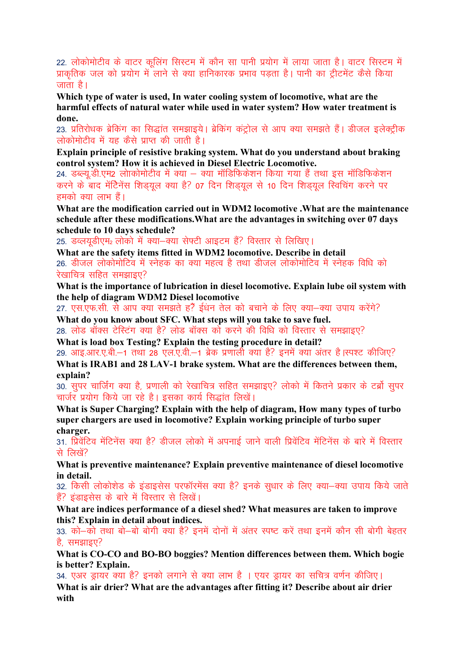22. लोकोमोटीव के वाटर कुलिंग सिस्टम में कौन सा पानी प्रयोग में लाया जाता है। वाटर सिस्टम में प्राकृतिक जल को प्रयोग में लाने से क्या हानिकारक प्रभाव पडता है। पानी का ट्रीटमेंट कैसे किया जाता है।

Which type of water is used, In water cooling system of locomotive, what are the harmful effects of natural water while used in water system? How water treatment is done.

23. प्रतिरोधक ब्रेकिंग का सिद्धांत समझाइये। ब्रेकिंग कंट्रोल से आप क्या समझते हैं। डीजल इलेक्ट्रीक लोकोमोटीव में यह कैसे प्राप्त की जाती है।

Explain principle of resistive braking system. What do you understand about braking control system? How it is achieved in Diesel Electric Locomotive.

24. डब्ल्यु.डी.एम2 लोाकोमोटीव में क्या – क्या मॉडिफिकेशन किया गया हैं तथा इस मॉडिफिकेशन करने के बाद मेंटिनेंस शिड़यूल क्या है? 07 दिन शिड़यूल से 10 दिन शिड़यल स्विचिंग करने पर हमको क्या लाभ हैं।

What are the modification carried out in WDM2 locomotive .What are the maintenance schedule after these modifications.What are the advantages in switching over 07 days schedule to 10 days schedule?

25. डव्लयुडीएम2 लोको में क्या-क्या सेफ्टी आइटम हैं? विस्तार से लिखिए।

What are the safety items fitted in WDM2 locomotive. Describe in detail 26. डीजल लोकोमोटिव में स्नेहक का क्या महत्व है तथा डीजल लोकोमोटिव में स्नेहक विधि को रेखाचित्र सहित समझाइए $\Omega$ 

What is the importance of lubrication in diesel locomotive. Explain lube oil system with the help of diagram WDM2 Diesel locomotive

27. एस.एफ.सी. से आप क्या समझते हैं? ईधन तेल को बचाने के लिए क्या-क्या उपाय करेंगे? What do you know about SFC. What steps will you take to save fuel.

28. लोड बॉक्स टेस्टिंग क्या है? लोड बॉक्स को करने की विधि को विस्तार से समझाइए? What is load box Testing? Explain the testing procedure in detail?

29. आइ.आर.ए.बी.—1 तथा 28 एल.ए.वी.—1 ब्रेक प्रणाली क्या है? इनमें क्या अंतर है।स्पश्ट कीजिए? What is IRAB1 and 28 LAV-1 brake system. What are the differences between them, explain?

30. सुपर चार्जिंग क्या है, प्रणाली को रेखाचित्र सहित समझाइए? लोको में कितने प्रकार के टर्ब्रो सुपर चार्जर प्रयोग किये जा रहे है। इसका कार्य सिद्धांत लिखें।

What is Super Charging? Explain with the help of diagram, How many types of turbo super chargers are used in locomotive? Explain working principle of turbo super charger.

31. प्रिवेंटिव मेंटिनेंस क्या है? डीजल लोको में अपनाई जाने वाली प्रिवेंटिव मेंटिनेंस के बारे में विस्तार से लिखें?

What is preventive maintenance? Explain preventive maintenance of diesel locomotive in detail.

32. किसी लोकोशेड के इंडाइसेस परफॉरमेंस क्या है? इनके सुधार के लिए क्या–क्या उपाय किये जाते हैं? इंडाइसेस के बारे में विस्तार से लिखें।

What are indices performance of a diesel shed? What measures are taken to improve this? Explain in detail about indices.

33. को—को तथा बो—बो बोगी क्या है? इनमें दोनों में अंतर स्पष्ट करें तथा इनमें कौन सी बोगी बेहतर है, समझाइए $?$ 

What is CO-CO and BO-BO boggies? Mention differences between them. Which bogie is better? Explain.

34. एअर ड्रायर क्या है? इनको लगाने से क्या लाभ है । एयर ड्रायर का सचित्र वर्णन कीजिए।

What is air drier? What are the advantages after fitting it? Describe about air drier with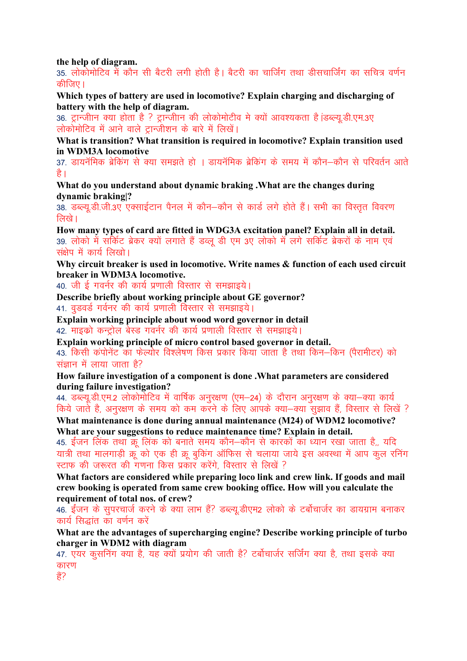the help of diagram.

35. लोकोमोटिव में कौन सी बैटरी लगी होती है। बैटरी का चार्जिंग तथा डीसचार्जिंग का सचित्र वर्णन कीति $\overline{\mathfrak{w}}$ ।

Which types of battery are used in locomotive? Explain charging and discharging of battery with the help of diagram.

36. ट्रान्जीान क्या होता है ? ट्रान्जीान की लोकोमोटीव मे क्यों आवश्यकता है iडब्ल्य.डी.एम.3ए लोकोमोटिव में आने वाले ट्रान्जीशन के बारे में लिखें।

What is transition? What transition is required in locomotive? Explain transition used in WDM3A locomotive

37. डायनॅमिक ब्रेकिंग से क्या समझते हो । डायनॅमिक ब्रेकिंग के समय में कौन–कौन से परिवर्तन आते है।

What do you understand about dynamic braking .What are the changes during dynamic braking|?

38. डब्ल्य.डी.जी.3ए एक्साईटान पैनल में कौन–कौन से कार्ड लगे होते हैं। सभी का विस्तत विवरण  $\overline{R}$ रिये ।

How many types of card are fitted in WDG3A excitation panel? Explain all in detail. 39. लोको में सर्किट ब्रेकर क्यों लगाते हैं डब्लू डी एम 3ए लोको में लगे सर्किट ब्रेकरों के नाम एवं संक्षेप में कार्य लिखो।

Why circuit breaker is used in locomotive. Write names & function of each used circuit breaker in WDM3A locomotive.

40. जी ई गवर्नर की कार्य प्रणाली विस्तार से समझाइये।

Describe briefly about working principle about GE governor?

41. वृडवर्ड गर्वनर की कार्य प्रणाली विस्तार से समझाइये।

Explain working principle about wood word governor in detail

42. माइको कन्ट्रोल बेस्ड गवर्नर की कार्य प्रणाली विस्तार से समझाइये।

Explain working principle of micro control based governor in detail.

43. किसी कंपोनेंट का फेल्योर विश्लेषण किस प्रकार किया जाता है तथा किन–किन (पैरामीटर) को संज्ञान में लाया जाता है?

How failure investigation of a component is done .What parameters are considered during failure investigation?

44. डब्ल्यू.डी.एम.2 लोकोमोटिव में वार्षिक अनूरक्षण (एम–24) के दौरान अनूरक्षण के क्या–क्या कार्य किये जाते है, अनुरक्षण के समय को कम करने के लिए आपके क्या—क्या सुझाव हैं, विस्तार से लिखें ?

What maintenance is done during annual maintenance (M24) of WDM2 locomotive? What are your suggestions to reduce maintenance time? Explain in detail.

45. ईंजन लिंक तथा क्रू लिंक को बनाते समय कौन–कौन से कारकों का ध्यान रखा जाता है,, यदि यात्री तथा मालगाड़ी क्रू को एक ही क्रू बुकिंग ऑफिस से चलाया जाये इस अवस्था में आप कूल रनिंग स्टाफ की जरूरत की गणना किस प्रकार करेंगे, विस्तार से लिखें ?

What factors are considered while preparing loco link and crew link. If goods and mail crew booking is operated from same crew booking office. How will you calculate the requirement of total nos. of crew?

46. ईंजन के सुपरचार्ज करने के क्या लाभ हैं? डब्ल्यू.डीएम2 लोको के टर्बोचार्जर का डायग्राम बनाकर कार्य सिद्धांत का वर्णन करें

What are the advantages of supercharging engine? Describe working principle of turbo charger in WDM2 with diagram

47. एयर कुसनिंग क्या है, यह क्यों प्रयोग की जाती है? टर्बोचार्जर सर्जिंग क्या है, तथा इसके क्या कारण

ੜ੍ਹੇਂ?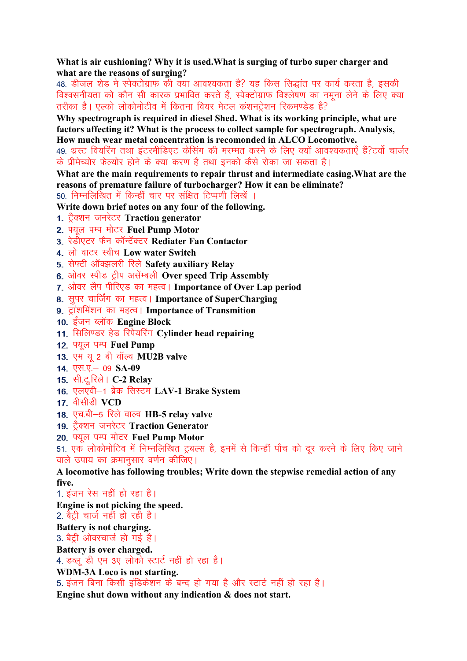What is air cushioning? Why it is used. What is surging of turbo super charger and what are the reasons of surging?

48. डीजल शेड मे स्पेक्टोग्राफ की क्या आवश्यकता है? यह किस सिद्धांत पर कार्य करता है, इसकी विश्वसनीयता को कौन सी कारक प्रभावित करते हैं, स्पेक्टोग्राफ विश्लेषण का नमना लेने के लिए क्या तरीका है। एल्को लोकोमोटीव में कितना वियर मेटल कंशनट्रेशन रिकमण्डेड है?

Why spectrograph is required in diesel Shed. What is its working principle, what are factors affecting it? What is the process to collect sample for spectrograph. Analysis, How much wear metal concentration is recomonded in ALCO Locomotive.

49. थ्रस्ट वियरिंग तथा इंटरमीडिएट केंसिंग की मरम्मत करने के लिए क्यों आवश्यकताएँ हैं?टर्वो चार्जर के प्रीमेच्योर फेल्योर होने के क्या करण है तथा इनको कैसे रोका जा सकता है।

What are the main requirements to repair thrust and intermediate casing. What are the reasons of premature failure of turbocharger? How it can be eliminate? 50. निम्नलिखित में किन्हीं चार पर संक्षित टिप्पणी लिखें ।

Write down brief notes on any four of the following.

- 1. ट्रैक्शन जनरेटर Traction generator
- 2. फ्युल पम्प मोटर Fuel Pump Motor
- 3. रेडीएटर फैन कॉन्टॅक्टर Rediater Fan Contactor
- 4. लो वाटर स्वीच Low water Switch
- 5. सेफ्टी ऑक्झलरी रिले Safety auxiliary Relay
- 6. ओवर स्पीड ट्रीप असेंम्बली Over speed Trip Assembly
- 7. ओवर लैप पीरिएड का महत्व। Importance of Over Lap period
- 8. सुपर चार्जिंग का महत्व। Importance of SuperCharging
- 9. ट्रांशमिंशन का महत्व। Importance of Transmition
- 10. ईंजन ब्लॉक Engine Block
- 11. सिलिण्डर हेड रिपेयरिंग Cylinder head repairing
- 12. फ्यूल पम्प Fuel Pump
- 13. एम यू 2 बी वॉल्व MU2B valve
- 14. एस.ए. 09 SA-09
- <u>15. सी.टू.रिले। C-2 Relay</u>
- 16. एलएवी-1 ब्रेक सिस्टम LAV-1 Brake System
- 17. वीसीडी VCD
- 18. एच.बी-5 रिले वाल्व HB-5 relay valve
- 19. ट्रैक्शन जनरेटर Traction Generator
- 20. फ्यल पम्प मोटर Fuel Pump Motor

51. एक लोकोमोटिव में निम्नलिखित ट्रबल्स है, इनमें से किन्हीं पाँच को दूर करने के लिए किए जाने वाले उपाय का क्रमानसार वर्णन कीजिए।

A locomotive has following troubles; Write down the stepwise remedial action of any five.

1. इंजन रेस नहीं हो रहा है।

Engine is not picking the speed.

2. बैट्री चार्ज नहीं हो रही है।

Battery is not charging.

3. बैट्री ओवरचार्ज हो गई है।

Battery is over charged.

4. डब्लू डी एम 3ए लोको स्टार्ट नहीं हो रहा है।

WDM-3A Loco is not starting.

5. इंजन बिना किसी इंडिकेशन के बन्द हो गया है और स्टार्ट नहीं हो रहा है।

Engine shut down without any indication & does not start.